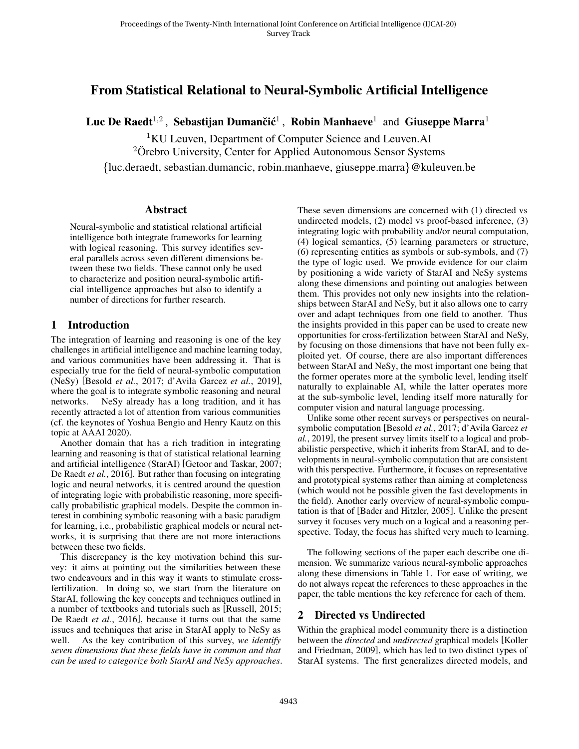# From Statistical Relational to Neural-Symbolic Artificial Intelligence

Luc De Raedt<sup>1,2</sup> , Sebastijan Dumančić<sup>1</sup> , Robin Manhaeve<sup>1</sup> and Giuseppe Marra<sup>1</sup>

<sup>1</sup>KU Leuven, Department of Computer Science and Leuven.AI

 $2\ddot{\text{O}}$ rebro University, Center for Applied Autonomous Sensor Systems

{luc.deraedt, sebastian.dumancic, robin.manhaeve, giuseppe.marra}@kuleuven.be

#### **Abstract**

Neural-symbolic and statistical relational artificial intelligence both integrate frameworks for learning with logical reasoning. This survey identifies several parallels across seven different dimensions between these two fields. These cannot only be used to characterize and position neural-symbolic artificial intelligence approaches but also to identify a number of directions for further research.

### 1 Introduction

The integration of learning and reasoning is one of the key challenges in artificial intelligence and machine learning today, and various communities have been addressing it. That is especially true for the field of neural-symbolic computation (NeSy) [\[Besold](#page-6-0) *et al.*, 2017; [d'Avila Garcez](#page-6-1) *et al.*, 2019], where the goal is to integrate symbolic reasoning and neural networks. NeSy already has a long tradition, and it has recently attracted a lot of attention from various communities (cf. the keynotes of Yoshua Bengio and Henry Kautz on this topic at AAAI 2020).

Another domain that has a rich tradition in integrating learning and reasoning is that of statistical relational learning and artificial intelligence (StarAI) [\[Getoor and Taskar, 2007;](#page-6-2) [De Raedt](#page-6-3) *et al.*, 2016]. But rather than focusing on integrating logic and neural networks, it is centred around the question of integrating logic with probabilistic reasoning, more specifically probabilistic graphical models. Despite the common interest in combining symbolic reasoning with a basic paradigm for learning, i.e., probabilistic graphical models or neural networks, it is surprising that there are not more interactions between these two fields.

This discrepancy is the key motivation behind this survey: it aims at pointing out the similarities between these two endeavours and in this way it wants to stimulate crossfertilization. In doing so, we start from the literature on StarAI, following the key concepts and techniques outlined in a number of textbooks and tutorials such as [\[Russell, 2015;](#page-7-0) [De Raedt](#page-6-3) *et al.*, 2016], because it turns out that the same issues and techniques that arise in StarAI apply to NeSy as well. As the key contribution of this survey, *we identify seven dimensions that these fields have in common and that can be used to categorize both StarAI and NeSy approaches*.

These seven dimensions are concerned with (1) directed vs undirected models, (2) model vs proof-based inference, (3) integrating logic with probability and/or neural computation, (4) logical semantics, (5) learning parameters or structure, (6) representing entities as symbols or sub-symbols, and (7) the type of logic used. We provide evidence for our claim by positioning a wide variety of StarAI and NeSy systems along these dimensions and pointing out analogies between them. This provides not only new insights into the relationships between StarAI and NeSy, but it also allows one to carry over and adapt techniques from one field to another. Thus the insights provided in this paper can be used to create new opportunities for cross-fertilization between StarAI and NeSy, by focusing on those dimensions that have not been fully exploited yet. Of course, there are also important differences between StarAI and NeSy, the most important one being that the former operates more at the symbolic level, lending itself naturally to explainable AI, while the latter operates more at the sub-symbolic level, lending itself more naturally for computer vision and natural language processing.

Unlike some other recent surveys or perspectives on neuralsymbolic computation [\[Besold](#page-6-0) *et al.*, 2017; [d'Avila Garcez](#page-6-1) *et al.*[, 2019\]](#page-6-1), the present survey limits itself to a logical and probabilistic perspective, which it inherits from StarAI, and to developments in neural-symbolic computation that are consistent with this perspective. Furthermore, it focuses on representative and prototypical systems rather than aiming at completeness (which would not be possible given the fast developments in the field). Another early overview of neural-symbolic computation is that of [\[Bader and Hitzler, 2005\]](#page-6-4). Unlike the present survey it focuses very much on a logical and a reasoning perspective. Today, the focus has shifted very much to learning.

The following sections of the paper each describe one dimension. We summarize various neural-symbolic approaches along these dimensions in Table 1. For ease of writing, we do not always repeat the references to these approaches in the paper, the table mentions the key reference for each of them.

### 2 Directed vs Undirected

Within the graphical model community there is a distinction between the *directed* and *undirected* graphical models [\[Koller](#page-7-1) [and Friedman, 2009\]](#page-7-1), which has led to two distinct types of StarAI systems. The first generalizes directed models, and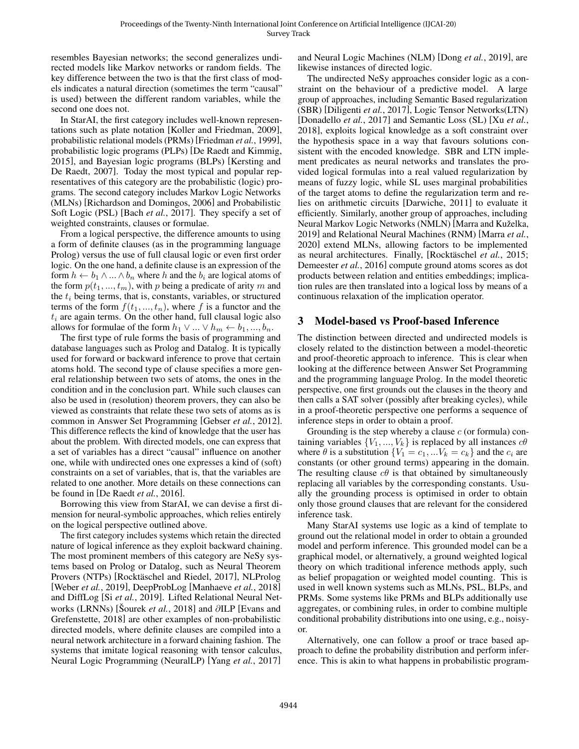resembles Bayesian networks; the second generalizes undirected models like Markov networks or random fields. The key difference between the two is that the first class of models indicates a natural direction (sometimes the term "causal" is used) between the different random variables, while the second one does not.

In StarAI, the first category includes well-known representations such as plate notation [\[Koller and Friedman, 2009\]](#page-7-1), probabilistic relational models (PRMs) [\[Friedman](#page-6-5) *et al.*, 1999], probabilistic logic programs (PLPs) [\[De Raedt and Kimmig,](#page-6-6) [2015\]](#page-6-6), and Bayesian logic programs (BLPs) [\[Kersting and](#page-7-2) [De Raedt, 2007\]](#page-7-2). Today the most typical and popular representatives of this category are the probabilistic (logic) programs. The second category includes Markov Logic Networks (MLNs) [\[Richardson and Domingos, 2006\]](#page-7-3) and Probabilistic Soft Logic (PSL) [Bach *et al.*[, 2017\]](#page-6-7). They specify a set of weighted constraints, clauses or formulae.

From a logical perspective, the difference amounts to using a form of definite clauses (as in the programming language Prolog) versus the use of full clausal logic or even first order logic. On the one hand, a definite clause is an expression of the form  $h \leftarrow b_1 \wedge ... \wedge b_n$  where h and the  $b_i$  are logical atoms of the form  $p(t_1, ..., t_m)$ , with p being a predicate of arity m and the  $t_i$  being terms, that is, constants, variables, or structured terms of the form  $f(t_1, ..., t_n)$ , where f is a functor and the  $t_i$  are again terms. On the other hand, full clausal logic also allows for formulae of the form  $h_1 \vee ... \vee h_m \leftarrow b_1, ..., b_n$ .

The first type of rule forms the basis of programming and database languages such as Prolog and Datalog. It is typically used for forward or backward inference to prove that certain atoms hold. The second type of clause specifies a more general relationship between two sets of atoms, the ones in the condition and in the conclusion part. While such clauses can also be used in (resolution) theorem provers, they can also be viewed as constraints that relate these two sets of atoms as is common in Answer Set Programming [\[Gebser](#page-6-8) *et al.*, 2012]. This difference reflects the kind of knowledge that the user has about the problem. With directed models, one can express that a set of variables has a direct "causal" influence on another one, while with undirected ones one expresses a kind of (soft) constraints on a set of variables, that is, that the variables are related to one another. More details on these connections can be found in [\[De Raedt](#page-6-3) *et al.*, 2016].

Borrowing this view from StarAI, we can devise a first dimension for neural-symbolic approaches, which relies entirely on the logical perspective outlined above.

The first category includes systems which retain the directed nature of logical inference as they exploit backward chaining. The most prominent members of this category are NeSy systems based on Prolog or Datalog, such as Neural Theorem Provers (NTPs) [Rocktäschel and Riedel, 2017], NLProlog [\[Weber](#page-7-5) *et al.*, 2019], DeepProbLog [\[Manhaeve](#page-7-6) *et al.*, 2018] and DiffLog [Si *et al.*[, 2019\]](#page-7-7). Lifted Relational Neural Networks (LRNNs) [Šourek *et al.*, 2018] and ∂ILP [\[Evans and](#page-6-9) [Grefenstette, 2018\]](#page-6-9) are other examples of non-probabilistic directed models, where definite clauses are compiled into a neural network architecture in a forward chaining fashion. The systems that imitate logical reasoning with tensor calculus, Neural Logic Programming (NeuralLP) [Yang *et al.*[, 2017\]](#page-7-9) and Neural Logic Machines (NLM) [Dong *et al.*[, 2019\]](#page-6-10), are likewise instances of directed logic.

The undirected NeSy approaches consider logic as a constraint on the behaviour of a predictive model. A large group of approaches, including Semantic Based regularization (SBR) [\[Diligenti](#page-6-11) *et al.*, 2017], Logic Tensor Networks(LTN) [\[Donadello](#page-6-12) *et al.*, 2017] and Semantic Loss (SL) [Xu *[et al.](#page-7-10)*, [2018\]](#page-7-10), exploits logical knowledge as a soft constraint over the hypothesis space in a way that favours solutions consistent with the encoded knowledge. SBR and LTN implement predicates as neural networks and translates the provided logical formulas into a real valued regularization by means of fuzzy logic, while SL uses marginal probabilities of the target atoms to define the regularization term and relies on arithmetic circuits [\[Darwiche, 2011\]](#page-6-13) to evaluate it efficiently. Similarly, another group of approaches, including Neural Markov Logic Networks (NMLN) [Marra and Kuželka, [2019\]](#page-7-11) and Relational Neural Machines (RNM) [\[Marra](#page-7-12) *et al.*, [2020\]](#page-7-12) extend MLNs, allowing factors to be implemented as neural architectures. Finally, [Rocktäschel et al., 2015; [Demeester](#page-6-14) *et al.*, 2016] compute ground atoms scores as dot products between relation and entities embeddings; implication rules are then translated into a logical loss by means of a continuous relaxation of the implication operator.

### 3 Model-based vs Proof-based Inference

The distinction between directed and undirected models is closely related to the distinction between a model-theoretic and proof-theoretic approach to inference. This is clear when looking at the difference between Answer Set Programming and the programming language Prolog. In the model theoretic perspective, one first grounds out the clauses in the theory and then calls a SAT solver (possibly after breaking cycles), while in a proof-theoretic perspective one performs a sequence of inference steps in order to obtain a proof.

Grounding is the step whereby a clause  $c$  (or formula) containing variables  $\{V_1, ..., V_k\}$  is replaced by all instances  $c\theta$ where  $\hat{\theta}$  is a substitution  $\{V_1 = c_1, ... V_k = c_k\}$  and the  $c_i$  are constants (or other ground terms) appearing in the domain. The resulting clause  $c\theta$  is that obtained by simultaneously replacing all variables by the corresponding constants. Usually the grounding process is optimised in order to obtain only those ground clauses that are relevant for the considered inference task.

Many StarAI systems use logic as a kind of template to ground out the relational model in order to obtain a grounded model and perform inference. This grounded model can be a graphical model, or alternatively, a ground weighted logical theory on which traditional inference methods apply, such as belief propagation or weighted model counting. This is used in well known systems such as MLNs, PSL, BLPs, and PRMs. Some systems like PRMs and BLPs additionally use aggregates, or combining rules, in order to combine multiple conditional probability distributions into one using, e.g., noisyor.

Alternatively, one can follow a proof or trace based approach to define the probability distribution and perform inference. This is akin to what happens in probabilistic program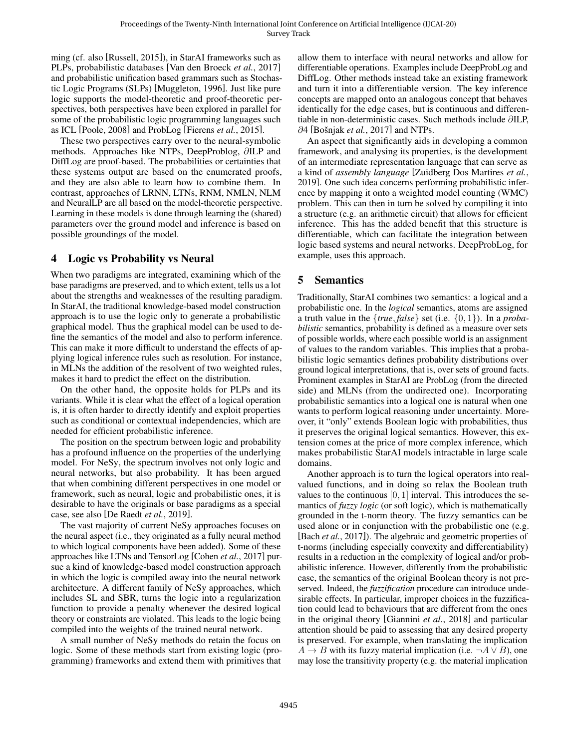ming (cf. also [\[Russell, 2015\]](#page-7-0)), in StarAI frameworks such as PLPs, probabilistic databases [\[Van den Broeck](#page-7-14) *et al.*, 2017] and probabilistic unification based grammars such as Stochastic Logic Programs (SLPs) [\[Muggleton, 1996\]](#page-7-15). Just like pure logic supports the model-theoretic and proof-theoretic perspectives, both perspectives have been explored in parallel for some of the probabilistic logic programming languages such as ICL [\[Poole, 2008\]](#page-7-16) and ProbLog [\[Fierens](#page-6-15) *et al.*, 2015].

These two perspectives carry over to the neural-symbolic methods. Approaches like NTPs, DeepProblog, ∂ILP and DiffLog are proof-based. The probabilities or certainties that these systems output are based on the enumerated proofs, and they are also able to learn how to combine them. In contrast, approaches of LRNN, LTNs, RNM, NMLN, NLM and NeuralLP are all based on the model-theoretic perspective. Learning in these models is done through learning the (shared) parameters over the ground model and inference is based on possible groundings of the model.

### 4 Logic vs Probability vs Neural

When two paradigms are integrated, examining which of the base paradigms are preserved, and to which extent, tells us a lot about the strengths and weaknesses of the resulting paradigm. In StarAI, the traditional knowledge-based model construction approach is to use the logic only to generate a probabilistic graphical model. Thus the graphical model can be used to define the semantics of the model and also to perform inference. This can make it more difficult to understand the effects of applying logical inference rules such as resolution. For instance, in MLNs the addition of the resolvent of two weighted rules, makes it hard to predict the effect on the distribution.

On the other hand, the opposite holds for PLPs and its variants. While it is clear what the effect of a logical operation is, it is often harder to directly identify and exploit properties such as conditional or contextual independencies, which are needed for efficient probabilistic inference.

The position on the spectrum between logic and probability has a profound influence on the properties of the underlying model. For NeSy, the spectrum involves not only logic and neural networks, but also probability. It has been argued that when combining different perspectives in one model or framework, such as neural, logic and probabilistic ones, it is desirable to have the originals or base paradigms as a special case, see also [\[De Raedt](#page-6-16) *et al.*, 2019].

The vast majority of current NeSy approaches focuses on the neural aspect (i.e., they originated as a fully neural method to which logical components have been added). Some of these approaches like LTNs and TensorLog [\[Cohen](#page-6-17) *et al.*, 2017] pursue a kind of knowledge-based model construction approach in which the logic is compiled away into the neural network architecture. A different family of NeSy approaches, which includes SL and SBR, turns the logic into a regularization function to provide a penalty whenever the desired logical theory or constraints are violated. This leads to the logic being compiled into the weights of the trained neural network.

A small number of NeSy methods do retain the focus on logic. Some of these methods start from existing logic (programming) frameworks and extend them with primitives that

allow them to interface with neural networks and allow for differentiable operations. Examples include DeepProbLog and DiffLog. Other methods instead take an existing framework and turn it into a differentiable version. The key inference concepts are mapped onto an analogous concept that behaves identically for the edge cases, but is continuous and differentiable in non-deterministic cases. Such methods include ∂ILP, ∂4 [Bošnjak *et al.*, 2017] and NTPs.

An aspect that significantly aids in developing a common framework, and analysing its properties, is the development of an intermediate representation language that can serve as a kind of *assembly language* [\[Zuidberg Dos Martires](#page-7-17) *et al.*, [2019\]](#page-7-17). One such idea concerns performing probabilistic inference by mapping it onto a weighted model counting (WMC) problem. This can then in turn be solved by compiling it into a structure (e.g. an arithmetic circuit) that allows for efficient inference. This has the added benefit that this structure is differentiable, which can facilitate the integration between logic based systems and neural networks. DeepProbLog, for example, uses this approach.

## 5 Semantics

Traditionally, StarAI combines two semantics: a logical and a probabilistic one. In the *logical* semantics, atoms are assigned a truth value in the  $\{true, false\}$  set (i.e.  $\{0, 1\}$ ). In a *probabilistic* semantics, probability is defined as a measure over sets of possible worlds, where each possible world is an assignment of values to the random variables. This implies that a probabilistic logic semantics defines probability distributions over ground logical interpretations, that is, over sets of ground facts. Prominent examples in StarAI are ProbLog (from the directed side) and MLNs (from the undirected one). Incorporating probabilistic semantics into a logical one is natural when one wants to perform logical reasoning under uncertainty. Moreover, it "only" extends Boolean logic with probabilities, thus it preserves the original logical semantics. However, this extension comes at the price of more complex inference, which makes probabilistic StarAI models intractable in large scale domains.

Another approach is to turn the logical operators into realvalued functions, and in doing so relax the Boolean truth values to the continuous  $[0, 1]$  interval. This introduces the semantics of *fuzzy logic* (or soft logic), which is mathematically grounded in the t-norm theory. The fuzzy semantics can be used alone or in conjunction with the probabilistic one (e.g. [Bach *et al.*[, 2017\]](#page-6-7)). The algebraic and geometric properties of t-norms (including especially convexity and differentiability) results in a reduction in the complexity of logical and/or probabilistic inference. However, differently from the probabilistic case, the semantics of the original Boolean theory is not preserved. Indeed, the *fuzzification* procedure can introduce undesirable effects. In particular, improper choices in the fuzzification could lead to behaviours that are different from the ones in the original theory [\[Giannini](#page-6-19) *et al.*, 2018] and particular attention should be paid to assessing that any desired property is preserved. For example, when translating the implication  $A \rightarrow B$  with its fuzzy material implication (i.e.  $\neg A \lor B$ ), one may lose the transitivity property (e.g. the material implication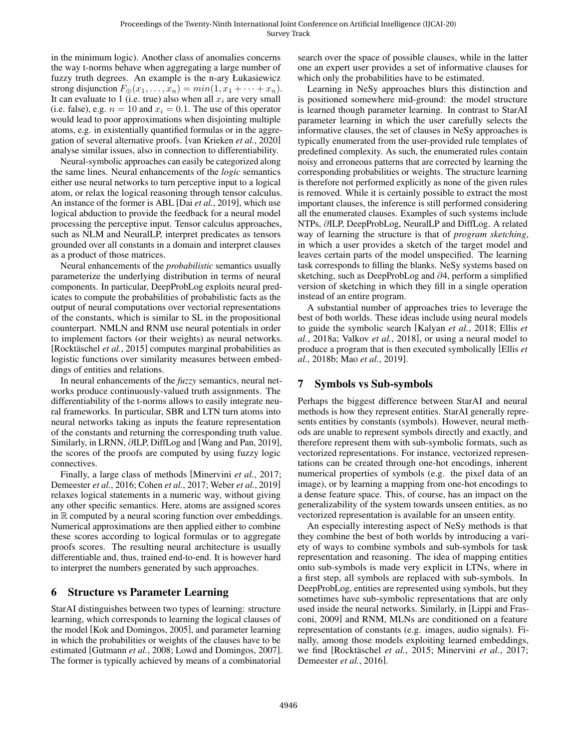in the minimum logic). Another class of anomalies concerns the way t-norms behave when aggregating a large number of fuzzy truth degrees. An example is the n-ary Łukasiewicz strong disjunction  $F_{\oplus}(x_1,\ldots,x_n) = min(1,x_1+\cdots+x_n).$ It can evaluate to 1 (i.e. true) also when all  $x_i$  are very small (i.e. false), e.g.  $n = 10$  and  $x<sub>i</sub> = 0.1$ . The use of this operator would lead to poor approximations when disjointing multiple atoms, e.g. in existentially quantified formulas or in the aggregation of several alternative proofs. [\[van Krieken](#page-7-18) *et al.*, 2020] analyse similar issues, also in connection to differentiability.

Neural-symbolic approaches can easily be categorized along the same lines. Neural enhancements of the *logic* semantics either use neural networks to turn perceptive input to a logical atom, or relax the logical reasoning through tensor calculus. An instance of the former is ABL [Dai *et al.*[, 2019\]](#page-6-20), which use logical abduction to provide the feedback for a neural model processing the perceptive input. Tensor calculus approaches, such as NLM and NeuralLP, interpret predicates as tensors grounded over all constants in a domain and interpret clauses as a product of those matrices.

Neural enhancements of the *probabilistic* semantics usually parameterize the underlying distribution in terms of neural components. In particular, DeepProbLog exploits neural predicates to compute the probabilities of probabilistic facts as the output of neural computations over vectorial representations of the constants, which is similar to SL in the propositional counterpart. NMLN and RNM use neural potentials in order to implement factors (or their weights) as neural networks. [\[Rocktaschel](#page-7-13) *et al.*, 2015] computes marginal probabilities as logistic functions over similarity measures between embeddings of entities and relations.

In neural enhancements of the *fuzzy* semantics, neural networks produce continuously-valued truth assignments. The differentiability of the t-norms allows to easily integrate neural frameworks. In particular, SBR and LTN turn atoms into neural networks taking as inputs the feature representation of the constants and returning the corresponding truth value. Similarly, in LRNN, ∂ILP, DiffLog and [\[Wang and Pan, 2019\]](#page-7-19), the scores of the proofs are computed by using fuzzy logic connectives.

Finally, a large class of methods [\[Minervini](#page-7-20) *et al.*, 2017; [Demeester](#page-6-14) *et al.*, 2016; [Cohen](#page-6-17) *et al.*, 2017; Weber *et al.*[, 2019\]](#page-7-5) relaxes logical statements in a numeric way, without giving any other specific semantics. Here, atoms are assigned scores in  $\mathbb R$  computed by a neural scoring function over embeddings. Numerical approximations are then applied either to combine these scores according to logical formulas or to aggregate proofs scores. The resulting neural architecture is usually differentiable and, thus, trained end-to-end. It is however hard to interpret the numbers generated by such approaches.

## <span id="page-3-0"></span>6 Structure vs Parameter Learning

StarAI distinguishes between two types of learning: structure learning, which corresponds to learning the logical clauses of the model [\[Kok and Domingos, 2005\]](#page-7-21), and parameter learning in which the probabilities or weights of the clauses have to be estimated [\[Gutmann](#page-6-21) *et al.*, 2008; [Lowd and Domingos, 2007\]](#page-7-22). The former is typically achieved by means of a combinatorial

search over the space of possible clauses, while in the latter one an expert user provides a set of informative clauses for which only the probabilities have to be estimated.

Learning in NeSy approaches blurs this distinction and is positioned somewhere mid-ground: the model structure is learned though parameter learning. In contrast to StarAI parameter learning in which the user carefully selects the informative clauses, the set of clauses in NeSy approaches is typically enumerated from the user-provided rule templates of predefined complexity. As such, the enumerated rules contain noisy and erroneous patterns that are corrected by learning the corresponding probabilities or weights. The structure learning is therefore not performed explicitly as none of the given rules is removed. While it is certainly possible to extract the most important clauses, the inference is still performed considering all the enumerated clauses. Examples of such systems include NTPs, ∂ILP, DeepProbLog, NeuralLP and DiffLog. A related way of learning the structure is that of *program sketching*, in which a user provides a sketch of the target model and leaves certain parts of the model unspecified. The learning task corresponds to filling the blanks. NeSy systems based on sketching, such as DeepProbLog and ∂4, perform a simplified version of sketching in which they fill in a single operation instead of an entire program.

A substantial number of approaches tries to leverage the best of both worlds. These ideas include using neural models to guide the symbolic search [\[Kalyan](#page-7-23) *et al.*, 2018; [Ellis](#page-6-22) *et al.*[, 2018a;](#page-6-22) [Valkov](#page-7-24) *et al.*, 2018], or using a neural model to produce a program that is then executed symbolically [\[Ellis](#page-6-23) *et al.*[, 2018b;](#page-6-23) Mao *et al.*[, 2019\]](#page-7-25).

## 7 Symbols vs Sub-symbols

Perhaps the biggest difference between StarAI and neural methods is how they represent entities. StarAI generally represents entities by constants (symbols). However, neural methods are unable to represent symbols directly and exactly, and therefore represent them with sub-symbolic formats, such as vectorized representations. For instance, vectorized representations can be created through one-hot encodings, inherent numerical properties of symbols (e.g. the pixel data of an image), or by learning a mapping from one-hot encodings to a dense feature space. This, of course, has an impact on the generalizability of the system towards unseen entities, as no vectorized representation is available for an unseen entity.

An especially interesting aspect of NeSy methods is that they combine the best of both worlds by introducing a variety of ways to combine symbols and sub-symbols for task representation and reasoning. The idea of mapping entities onto sub-symbols is made very explicit in LTNs, where in a first step, all symbols are replaced with sub-symbols. In DeepProbLog, entities are represented using symbols, but they sometimes have sub-symbolic representations that are only used inside the neural networks. Similarly, in [\[Lippi and Fras](#page-7-26)[coni, 2009\]](#page-7-26) and RNM, MLNs are conditioned on a feature representation of constants (e.g. images, audio signals). Finally, among those models exploiting learned embeddings, we find [Rocktäschel et al., 2015; [Minervini](#page-7-20) et al., 2017; [Demeester](#page-6-14) *et al.*, 2016].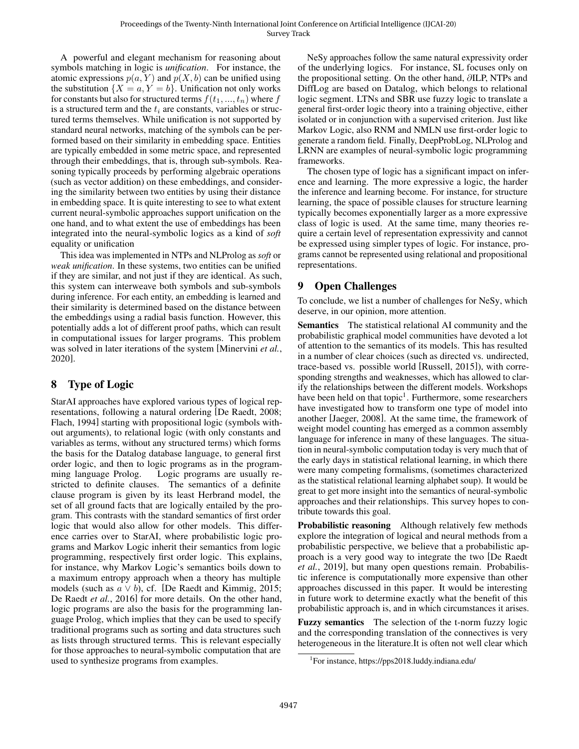A powerful and elegant mechanism for reasoning about symbols matching in logic is *unification*. For instance, the atomic expressions  $p(a, Y)$  and  $p(X, b)$  can be unified using the substitution  $\{X = a, Y = b\}$ . Unification not only works for constants but also for structured terms  $f(t_1, ..., t_n)$  where f is a structured term and the  $t_i$  are constants, variables or structured terms themselves. While unification is not supported by standard neural networks, matching of the symbols can be performed based on their similarity in embedding space. Entities are typically embedded in some metric space, and represented through their embeddings, that is, through sub-symbols. Reasoning typically proceeds by performing algebraic operations (such as vector addition) on these embeddings, and considering the similarity between two entities by using their distance in embedding space. It is quite interesting to see to what extent current neural-symbolic approaches support unification on the one hand, and to what extent the use of embeddings has been integrated into the neural-symbolic logics as a kind of *soft* equality or unification

This idea was implemented in NTPs and NLProlog as *soft* or *weak unification*. In these systems, two entities can be unified if they are similar, and not just if they are identical. As such, this system can interweave both symbols and sub-symbols during inference. For each entity, an embedding is learned and their similarity is determined based on the distance between the embeddings using a radial basis function. However, this potentially adds a lot of different proof paths, which can result in computational issues for larger programs. This problem was solved in later iterations of the system [\[Minervini](#page-7-27) *et al.*, [2020\]](#page-7-27).

## 8 Type of Logic

StarAI approaches have explored various types of logical representations, following a natural ordering [\[De Raedt, 2008;](#page-6-24) [Flach, 1994\]](#page-6-25) starting with propositional logic (symbols without arguments), to relational logic (with only constants and variables as terms, without any structured terms) which forms the basis for the Datalog database language, to general first order logic, and then to logic programs as in the programming language Prolog. Logic programs are usually restricted to definite clauses. The semantics of a definite clause program is given by its least Herbrand model, the set of all ground facts that are logically entailed by the program. This contrasts with the standard semantics of first order logic that would also allow for other models. This difference carries over to StarAI, where probabilistic logic programs and Markov Logic inherit their semantics from logic programming, respectively first order logic. This explains, for instance, why Markov Logic's semantics boils down to a maximum entropy approach when a theory has multiple models (such as  $a \vee b$ ), cf. [\[De Raedt and Kimmig, 2015;](#page-6-6) [De Raedt](#page-6-3) *et al.*, 2016] for more details. On the other hand, logic programs are also the basis for the programming language Prolog, which implies that they can be used to specify traditional programs such as sorting and data structures such as lists through structured terms. This is relevant especially for those approaches to neural-symbolic computation that are used to synthesize programs from examples.

NeSy approaches follow the same natural expressivity order of the underlying logics. For instance, SL focuses only on the propositional setting. On the other hand, ∂ILP, NTPs and DiffLog are based on Datalog, which belongs to relational logic segment. LTNs and SBR use fuzzy logic to translate a general first-order logic theory into a training objective, either isolated or in conjunction with a supervised criterion. Just like Markov Logic, also RNM and NMLN use first-order logic to generate a random field. Finally, DeepProbLog, NLProlog and LRNN are examples of neural-symbolic logic programming frameworks.

The chosen type of logic has a significant impact on inference and learning. The more expressive a logic, the harder the inference and learning become. For instance, for structure learning, the space of possible clauses for structure learning typically becomes exponentially larger as a more expressive class of logic is used. At the same time, many theories require a certain level of representation expressivity and cannot be expressed using simpler types of logic. For instance, programs cannot be represented using relational and propositional representations.

## 9 Open Challenges

To conclude, we list a number of challenges for NeSy, which deserve, in our opinion, more attention.

Semantics The statistical relational AI community and the probabilistic graphical model communities have devoted a lot of attention to the semantics of its models. This has resulted in a number of clear choices (such as directed vs. undirected, trace-based vs. possible world [\[Russell, 2015\]](#page-7-0)), with corresponding strengths and weaknesses, which has allowed to clarify the relationships between the different models. Workshops have been held on that topic<sup>[1](#page-4-0)</sup>. Furthermore, some researchers have investigated how to transform one type of model into another [\[Jaeger, 2008\]](#page-7-28). At the same time, the framework of weight model counting has emerged as a common assembly language for inference in many of these languages. The situation in neural-symbolic computation today is very much that of the early days in statistical relational learning, in which there were many competing formalisms, (sometimes characterized as the statistical relational learning alphabet soup). It would be great to get more insight into the semantics of neural-symbolic approaches and their relationships. This survey hopes to contribute towards this goal.

Probabilistic reasoning Although relatively few methods explore the integration of logical and neural methods from a probabilistic perspective, we believe that a probabilistic approach is a very good way to integrate the two [\[De Raedt](#page-6-16) *et al.*[, 2019\]](#page-6-16), but many open questions remain. Probabilistic inference is computationally more expensive than other approaches discussed in this paper. It would be interesting in future work to determine exactly what the benefit of this probabilistic approach is, and in which circumstances it arises.

Fuzzy semantics The selection of the t-norm fuzzy logic and the corresponding translation of the connectives is very heterogeneous in the literature.It is often not well clear which

<span id="page-4-0"></span><sup>1</sup> For instance,<https://pps2018.luddy.indiana.edu/>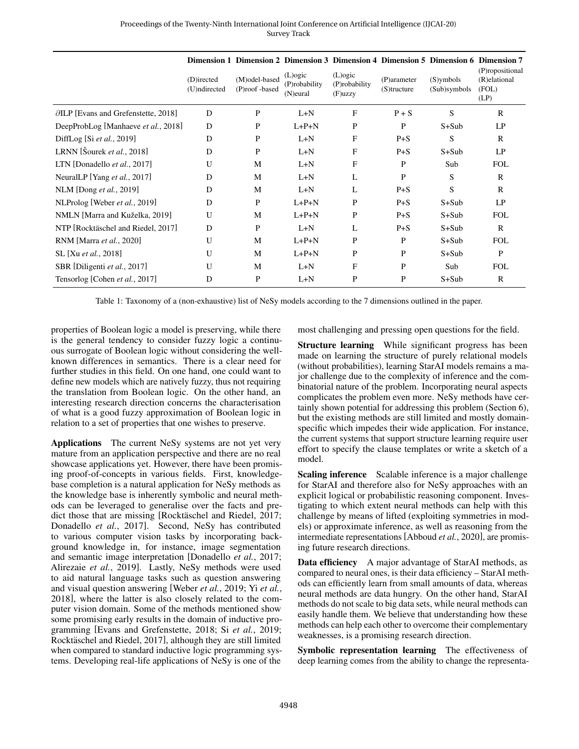|                                               |                            |                                 | Dimension 1 Dimension 2 Dimension 3 Dimension 4 Dimension 5 Dimension 6 Dimension 7 |                                           |                               |                              |                                                  |
|-----------------------------------------------|----------------------------|---------------------------------|-------------------------------------------------------------------------------------|-------------------------------------------|-------------------------------|------------------------------|--------------------------------------------------|
|                                               | (D)irected<br>(U)ndirected | (M)odel-based<br>(P)roof -based | $(L)$ ogic<br>(P)robability<br>(N) eural                                            | $(L)$ ogic<br>(P)robability<br>$(F)$ uzzy | (P)arameter<br>$(S)$ tructure | $(S)$ ymbols<br>(Sub)symbols | (P)ropositional<br>(R)elational<br>(FOL)<br>(LP) |
| $\partial$ ILP [Evans and Grefenstette, 2018] | D                          | P                               | $L+N$                                                                               | F                                         | $P + S$                       | S                            | $\mathbb{R}$                                     |
| DeepProbLog [Manhaeve et al., 2018]           | D                          | P                               | $L+P+N$                                                                             | P                                         | P                             | $S+Sub$                      | LP                                               |
| DiffLog [Si et al., 2019]                     | D                          | P                               | $L+N$                                                                               | F                                         | $P + S$                       | S                            | $\mathbb{R}$                                     |
| LRNN [Sourek et al., 2018]                    | D                          | P                               | $L+N$                                                                               | $\mathbf{F}$                              | $P + S$                       | $S+Sub$                      | LP                                               |
| LTN [Donadello et al., 2017]                  | U                          | M                               | $L+N$                                                                               | $\mathbf{F}$                              | P                             | Sub                          | <b>FOL</b>                                       |
| NeuralLP [Yang et al., 2017]                  | D                          | M                               | $L+N$                                                                               | L                                         | P                             | S                            | $\mathbb{R}$                                     |
| NLM [Dong et al., 2019]                       | D                          | M                               | $L+N$                                                                               | L                                         | $P + S$                       | S                            | $\mathbf{R}$                                     |
| NLProlog [Weber et al., 2019]                 | D                          | P                               | $L+P+N$                                                                             | P                                         | $P + S$                       | $S+Sub$                      | LP                                               |
| NMLN [Marra and Kuželka, 2019]                | U                          | M                               | $L+P+N$                                                                             | P                                         | $P + S$                       | $S+Sub$                      | <b>FOL</b>                                       |
| NTP [Rocktäschel and Riedel, 2017]            | D                          | ${\bf P}$                       | $L+N$                                                                               | L                                         | $P + S$                       | $S+Sub$                      | $\mathbb{R}$                                     |
| RNM [Marra et al., 2020]                      | U                          | M                               | $L+P+N$                                                                             | P                                         | P                             | $S+Sub$                      | <b>FOL</b>                                       |
| SL [Xu et al., 2018]                          | U                          | M                               | $L+P+N$                                                                             | $\mathbf P$                               | P                             | $S+Sub$                      | $\mathbf P$                                      |
| SBR [Diligenti et al., 2017]                  | U                          | M                               | $L+N$                                                                               | F                                         | P                             | Sub                          | <b>FOL</b>                                       |
| Tensorlog [Cohen et al., 2017]                | D                          | P                               | $L+N$                                                                               | P                                         | P                             | S+Sub                        | R                                                |

Table 1: Taxonomy of a (non-exhaustive) list of NeSy models according to the 7 dimensions outlined in the paper.

properties of Boolean logic a model is preserving, while there is the general tendency to consider fuzzy logic a continuous surrogate of Boolean logic without considering the wellknown differences in semantics. There is a clear need for further studies in this field. On one hand, one could want to define new models which are natively fuzzy, thus not requiring the translation from Boolean logic. On the other hand, an interesting research direction concerns the characterisation of what is a good fuzzy approximation of Boolean logic in relation to a set of properties that one wishes to preserve.

Applications The current NeSy systems are not yet very mature from an application perspective and there are no real showcase applications yet. However, there have been promising proof-of-concepts in various fields. First, knowledgebase completion is a natural application for NeSy methods as the knowledge base is inherently symbolic and neural methods can be leveraged to generalise over the facts and predict those that are missing [Rocktäschel and Riedel, 2017; [Donadello](#page-6-12) *et al.*, 2017]. Second, NeSy has contributed to various computer vision tasks by incorporating background knowledge in, for instance, image segmentation and semantic image interpretation [\[Donadello](#page-6-12) *et al.*, 2017; [Alirezaie](#page-6-26) *et al.*, 2019]. Lastly, NeSy methods were used to aid natural language tasks such as question answering and visual question answering [\[Weber](#page-7-5) *et al.*, 2019; Yi *[et al.](#page-7-29)*, [2018\]](#page-7-29), where the latter is also closely related to the computer vision domain. Some of the methods mentioned show some promising early results in the domain of inductive programming [\[Evans and Grefenstette, 2018;](#page-6-9) Si *et al.*[, 2019;](#page-7-7) Rocktäschel and Riedel, 2017], although they are still limited when compared to standard inductive logic programming systems. Developing real-life applications of NeSy is one of the

most challenging and pressing open questions for the field.

Structure learning While significant progress has been made on learning the structure of purely relational models (without probabilities), learning StarAI models remains a major challenge due to the complexity of inference and the combinatorial nature of the problem. Incorporating neural aspects complicates the problem even more. NeSy methods have certainly shown potential for addressing this problem (Section [6\)](#page-3-0), but the existing methods are still limited and mostly domainspecific which impedes their wide application. For instance, the current systems that support structure learning require user effort to specify the clause templates or write a sketch of a model.

Scaling inference Scalable inference is a major challenge for StarAI and therefore also for NeSy approaches with an explicit logical or probabilistic reasoning component. Investigating to which extent neural methods can help with this challenge by means of lifted (exploiting symmetries in models) or approximate inference, as well as reasoning from the intermediate representations [\[Abboud](#page-6-27) *et al.*, 2020], are promising future research directions.

Data efficiency A major advantage of StarAI methods, as compared to neural ones, is their data efficiency – StarAI methods can efficiently learn from small amounts of data, whereas neural methods are data hungry. On the other hand, StarAI methods do not scale to big data sets, while neural methods can easily handle them. We believe that understanding how these methods can help each other to overcome their complementary weaknesses, is a promising research direction.

Symbolic representation learning The effectiveness of deep learning comes from the ability to change the representa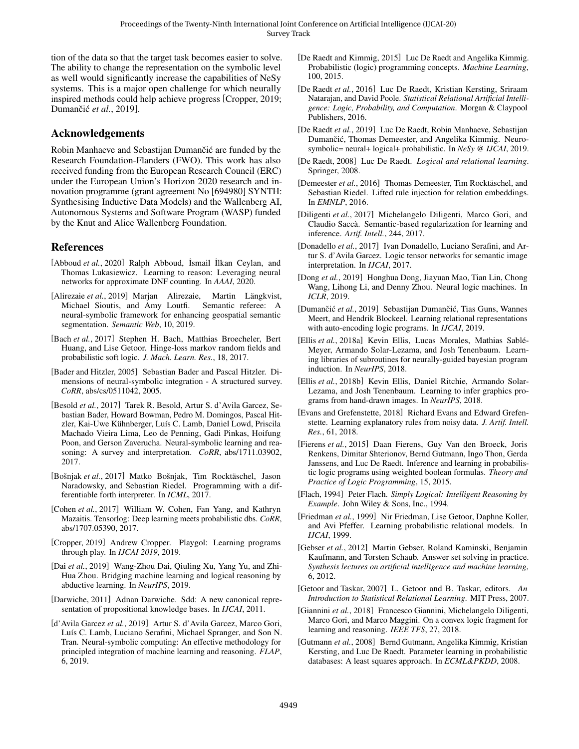tion of the data so that the target task becomes easier to solve. The ability to change the representation on the symbolic level as well would significantly increase the capabilities of NeSy systems. This is a major open challenge for which neurally inspired methods could help achieve progress [\[Cropper, 2019;](#page-6-28) Dumančić et al., 2019].

#### Acknowledgements

Robin Manhaeve and Sebastijan Dumančić are funded by the Research Foundation-Flanders (FWO). This work has also received funding from the European Research Council (ERC) under the European Union's Horizon 2020 research and innovation programme (grant agreement No [694980] SYNTH: Synthesising Inductive Data Models) and the Wallenberg AI, Autonomous Systems and Software Program (WASP) funded by the Knut and Alice Wallenberg Foundation.

### References

- <span id="page-6-27"></span>[Abboud *et al.*, 2020] Ralph Abboud, İsmail İlkan Ceylan, and Thomas Lukasiewicz. Learning to reason: Leveraging neural networks for approximate DNF counting. In *AAAI*, 2020.
- <span id="page-6-26"></span>[Alirezaie et al., 2019] Marjan Alirezaie, Martin Längkvist, Michael Sioutis, and Amy Loutfi. Semantic referee: A neural-symbolic framework for enhancing geospatial semantic segmentation. *Semantic Web*, 10, 2019.
- <span id="page-6-7"></span>[Bach *et al.*, 2017] Stephen H. Bach, Matthias Broecheler, Bert Huang, and Lise Getoor. Hinge-loss markov random fields and probabilistic soft logic. *J. Mach. Learn. Res.*, 18, 2017.
- <span id="page-6-4"></span>[Bader and Hitzler, 2005] Sebastian Bader and Pascal Hitzler. Dimensions of neural-symbolic integration - A structured survey. *CoRR*, abs/cs/0511042, 2005.
- <span id="page-6-0"></span>[Besold *et al.*, 2017] Tarek R. Besold, Artur S. d'Avila Garcez, Sebastian Bader, Howard Bowman, Pedro M. Domingos, Pascal Hitzler, Kai-Uwe Kühnberger, Luís C. Lamb, Daniel Lowd, Priscila Machado Vieira Lima, Leo de Penning, Gadi Pinkas, Hoifung Poon, and Gerson Zaverucha. Neural-symbolic learning and reasoning: A survey and interpretation. *CoRR*, abs/1711.03902, 2017.
- <span id="page-6-18"></span>[Bošnjak et al., 2017] Matko Bošnjak, Tim Rocktäschel, Jason Naradowsky, and Sebastian Riedel. Programming with a differentiable forth interpreter. In *ICML*, 2017.
- <span id="page-6-17"></span>[Cohen *et al.*, 2017] William W. Cohen, Fan Yang, and Kathryn Mazaitis. Tensorlog: Deep learning meets probabilistic dbs. *CoRR*, abs/1707.05390, 2017.
- <span id="page-6-28"></span>[Cropper, 2019] Andrew Cropper. Playgol: Learning programs through play. In *IJCAI 2019*, 2019.
- <span id="page-6-20"></span>[Dai *et al.*, 2019] Wang-Zhou Dai, Qiuling Xu, Yang Yu, and Zhi-Hua Zhou. Bridging machine learning and logical reasoning by abductive learning. In *NeurIPS*, 2019.
- <span id="page-6-13"></span>[Darwiche, 2011] Adnan Darwiche. Sdd: A new canonical representation of propositional knowledge bases. In *IJCAI*, 2011.
- <span id="page-6-1"></span>[d'Avila Garcez *et al.*, 2019] Artur S. d'Avila Garcez, Marco Gori, Luís C. Lamb, Luciano Serafini, Michael Spranger, and Son N. Tran. Neural-symbolic computing: An effective methodology for principled integration of machine learning and reasoning. *FLAP*, 6, 2019.
- <span id="page-6-6"></span>[De Raedt and Kimmig, 2015] Luc De Raedt and Angelika Kimmig. Probabilistic (logic) programming concepts. *Machine Learning*, 100, 2015.
- <span id="page-6-3"></span>[De Raedt *et al.*, 2016] Luc De Raedt, Kristian Kersting, Sriraam Natarajan, and David Poole. *Statistical Relational Artificial Intelligence: Logic, Probability, and Computation*. Morgan & Claypool Publishers, 2016.
- <span id="page-6-16"></span>[De Raedt *et al.*, 2019] Luc De Raedt, Robin Manhaeve, Sebastijan Dumančić, Thomas Demeester, and Angelika Kimmig. Neurosymbolic= neural+ logical+ probabilistic. In *NeSy @ IJCAI*, 2019.
- <span id="page-6-24"></span>[De Raedt, 2008] Luc De Raedt. *Logical and relational learning*. Springer, 2008.
- <span id="page-6-14"></span>[Demeester *et al.*, 2016] Thomas Demeester, Tim Rocktäschel, and Sebastian Riedel. Lifted rule injection for relation embeddings. In *EMNLP*, 2016.
- <span id="page-6-11"></span>[Diligenti *et al.*, 2017] Michelangelo Diligenti, Marco Gori, and Claudio Saccà. Semantic-based regularization for learning and inference. *Artif. Intell.*, 244, 2017.
- <span id="page-6-12"></span>[Donadello *et al.*, 2017] Ivan Donadello, Luciano Serafini, and Artur S. d'Avila Garcez. Logic tensor networks for semantic image interpretation. In *IJCAI*, 2017.
- <span id="page-6-10"></span>[Dong *et al.*, 2019] Honghua Dong, Jiayuan Mao, Tian Lin, Chong Wang, Lihong Li, and Denny Zhou. Neural logic machines. In *ICLR*, 2019.
- <span id="page-6-29"></span>[Dumančić et al., 2019] Sebastijan Dumančić, Tias Guns, Wannes Meert, and Hendrik Blockeel. Learning relational representations with auto-encoding logic programs. In *IJCAI*, 2019.
- <span id="page-6-22"></span>[Ellis et al., 2018a] Kevin Ellis, Lucas Morales, Mathias Sablé-Meyer, Armando Solar-Lezama, and Josh Tenenbaum. Learning libraries of subroutines for neurally-guided bayesian program induction. In *NeurIPS*, 2018.
- <span id="page-6-23"></span>[Ellis *et al.*, 2018b] Kevin Ellis, Daniel Ritchie, Armando Solar-Lezama, and Josh Tenenbaum. Learning to infer graphics programs from hand-drawn images. In *NeurIPS*, 2018.
- <span id="page-6-9"></span>[Evans and Grefenstette, 2018] Richard Evans and Edward Grefenstette. Learning explanatory rules from noisy data. *J. Artif. Intell. Res.*, 61, 2018.
- <span id="page-6-15"></span>[Fierens *et al.*, 2015] Daan Fierens, Guy Van den Broeck, Joris Renkens, Dimitar Shterionov, Bernd Gutmann, Ingo Thon, Gerda Janssens, and Luc De Raedt. Inference and learning in probabilistic logic programs using weighted boolean formulas. *Theory and Practice of Logic Programming*, 15, 2015.
- <span id="page-6-25"></span>[Flach, 1994] Peter Flach. *Simply Logical: Intelligent Reasoning by Example*. John Wiley & Sons, Inc., 1994.
- <span id="page-6-5"></span>[Friedman *et al.*, 1999] Nir Friedman, Lise Getoor, Daphne Koller, and Avi Pfeffer. Learning probabilistic relational models. In *IJCAI*, 1999.
- <span id="page-6-8"></span>[Gebser *et al.*, 2012] Martin Gebser, Roland Kaminski, Benjamin Kaufmann, and Torsten Schaub. Answer set solving in practice. *Synthesis lectures on artificial intelligence and machine learning*, 6, 2012.
- <span id="page-6-2"></span>[Getoor and Taskar, 2007] L. Getoor and B. Taskar, editors. *An Introduction to Statistical Relational Learning*. MIT Press, 2007.
- <span id="page-6-19"></span>[Giannini *et al.*, 2018] Francesco Giannini, Michelangelo Diligenti, Marco Gori, and Marco Maggini. On a convex logic fragment for learning and reasoning. *IEEE TFS*, 27, 2018.
- <span id="page-6-21"></span>[Gutmann *et al.*, 2008] Bernd Gutmann, Angelika Kimmig, Kristian Kersting, and Luc De Raedt. Parameter learning in probabilistic databases: A least squares approach. In *ECML&PKDD*, 2008.